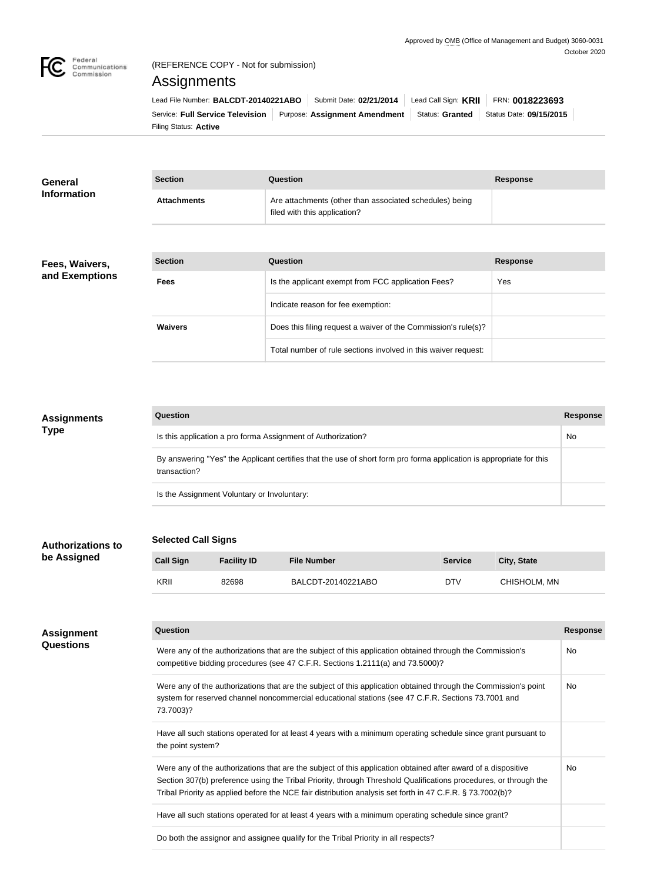

## (REFERENCE COPY - Not for submission)

## Assignments

| Lead File Number: BALCDT-20140221ABO    |  | Submit Date: 02/21/2014                         | Lead Call Sign: KRII | FRN: 0018223693         |
|-----------------------------------------|--|-------------------------------------------------|----------------------|-------------------------|
| <b>Service: Full Service Television</b> |  | Purpose: Assignment Amendment   Status: Granted |                      | Status Date: 09/15/2015 |
| Filing Status: <b>Active</b>            |  |                                                 |                      |                         |

| <b>General</b><br><b>Information</b> | <b>Section</b>     | Question                                                                                | Response |
|--------------------------------------|--------------------|-----------------------------------------------------------------------------------------|----------|
|                                      | <b>Attachments</b> | Are attachments (other than associated schedules) being<br>filed with this application? |          |
|                                      |                    |                                                                                         |          |

#### **Fees, Waivers, and Exemptions**

**Authorizations to be Assigned**

| <b>Section</b> | Question                                                       | <b>Response</b> |
|----------------|----------------------------------------------------------------|-----------------|
| <b>Fees</b>    | Is the applicant exempt from FCC application Fees?             | Yes             |
|                | Indicate reason for fee exemption:                             |                 |
| <b>Waivers</b> | Does this filing request a waiver of the Commission's rule(s)? |                 |
|                | Total number of rule sections involved in this waiver request: |                 |

## **Question Response** Is this application a pro forma Assignment of Authorization? No was also also have not all  $\blacksquare$  No By answering "Yes" the Applicant certifies that the use of short form pro forma application is appropriate for this transaction? Is the Assignment Voluntary or Involuntary: **Assignments Type**

## **Selected Call Signs**

# **Call Sign Facility ID** File Number **File Service** Service City, State KRII 82698 BALCDT-20140221ABO DTV CHISHOLM, MN

| <b>Assignment</b> | Question                                                                                                                                                                                                                                                                                                                                       | <b>Response</b> |
|-------------------|------------------------------------------------------------------------------------------------------------------------------------------------------------------------------------------------------------------------------------------------------------------------------------------------------------------------------------------------|-----------------|
| <b>Questions</b>  | Were any of the authorizations that are the subject of this application obtained through the Commission's<br>competitive bidding procedures (see 47 C.F.R. Sections 1.2111(a) and 73.5000)?                                                                                                                                                    | No              |
|                   | Were any of the authorizations that are the subject of this application obtained through the Commission's point<br>system for reserved channel noncommercial educational stations (see 47 C.F.R. Sections 73.7001 and<br>73.7003)?                                                                                                             | No.             |
|                   | Have all such stations operated for at least 4 years with a minimum operating schedule since grant pursuant to<br>the point system?                                                                                                                                                                                                            |                 |
|                   | Were any of the authorizations that are the subject of this application obtained after award of a dispositive<br>Section 307(b) preference using the Tribal Priority, through Threshold Qualifications procedures, or through the<br>Tribal Priority as applied before the NCE fair distribution analysis set forth in 47 C.F.R. § 73.7002(b)? | No              |
|                   | Have all such stations operated for at least 4 years with a minimum operating schedule since grant?                                                                                                                                                                                                                                            |                 |
|                   | Do both the assignor and assignee qualify for the Tribal Priority in all respects?                                                                                                                                                                                                                                                             |                 |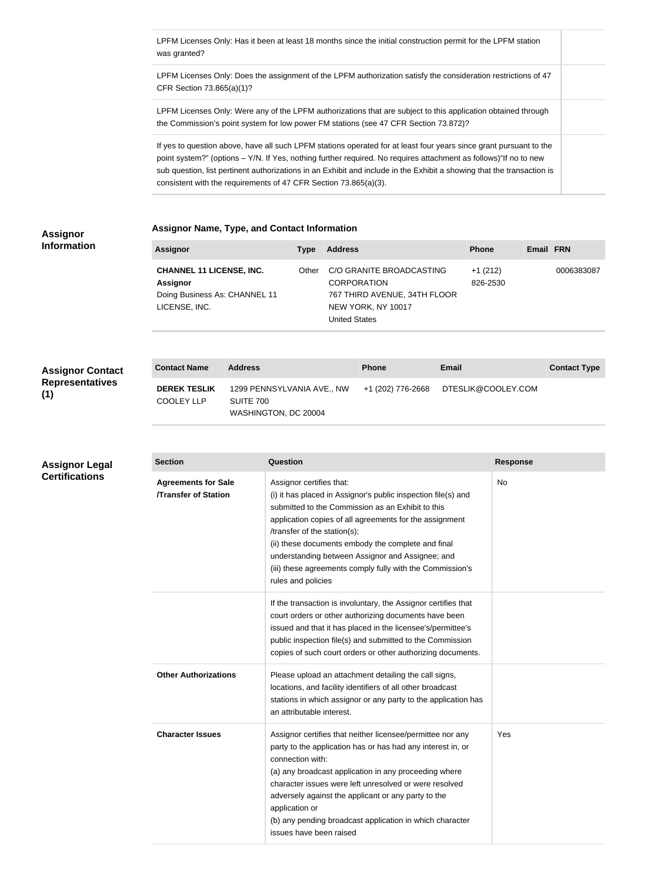LPFM Licenses Only: Has it been at least 18 months since the initial construction permit for the LPFM station was granted?

LPFM Licenses Only: Does the assignment of the LPFM authorization satisfy the consideration restrictions of 47 CFR Section 73.865(a)(1)?

LPFM Licenses Only: Were any of the LPFM authorizations that are subject to this application obtained through the Commission's point system for low power FM stations (see 47 CFR Section 73.872)?

If yes to question above, have all such LPFM stations operated for at least four years since grant pursuant to the point system?" (options – Y/N. If Yes, nothing further required. No requires attachment as follows)"If no to new sub question, list pertinent authorizations in an Exhibit and include in the Exhibit a showing that the transaction is consistent with the requirements of 47 CFR Section 73.865(a)(3).

#### **Assignor Information**

#### **Assignor Name, Type, and Contact Information**

1299 PENNSYLVANIA AVE., NW

WASHINGTON, DC 20004

SUITE 700

| <b>Assignor</b>                                                                                      | <b>Type</b> | <b>Address</b>                                                                                                               | <b>Phone</b>          | Email FRN |            |
|------------------------------------------------------------------------------------------------------|-------------|------------------------------------------------------------------------------------------------------------------------------|-----------------------|-----------|------------|
| <b>CHANNEL 11 LICENSE, INC.</b><br><b>Assignor</b><br>Doing Business As: CHANNEL 11<br>LICENSE, INC. | Other       | C/O GRANITE BROADCASTING<br><b>CORPORATION</b><br>767 THIRD AVENUE, 34TH FLOOR<br>NEW YORK, NY 10017<br><b>United States</b> | $+1(212)$<br>826-2530 |           | 0006383087 |
|                                                                                                      |             |                                                                                                                              |                       |           |            |

**Contact Name Address Phone Email Contact Type**

+1 (202) 776-2668 DTESLIK@COOLEY.COM

### **Assignor Contact Representatives (1)**

**DEREK TESLIK**  COOLEY LLP

#### **Assignor Legal Certifications**

| <b>Section</b>                                            | Question                                                                                                                                                                                                                                                                                                                                                                                                                               | <b>Response</b> |
|-----------------------------------------------------------|----------------------------------------------------------------------------------------------------------------------------------------------------------------------------------------------------------------------------------------------------------------------------------------------------------------------------------------------------------------------------------------------------------------------------------------|-----------------|
| <b>Agreements for Sale</b><br><b>/Transfer of Station</b> | Assignor certifies that:<br>(i) it has placed in Assignor's public inspection file(s) and<br>submitted to the Commission as an Exhibit to this<br>application copies of all agreements for the assignment<br>/transfer of the station(s);<br>(ii) these documents embody the complete and final<br>understanding between Assignor and Assignee; and<br>(iii) these agreements comply fully with the Commission's<br>rules and policies | <b>No</b>       |
|                                                           | If the transaction is involuntary, the Assignor certifies that<br>court orders or other authorizing documents have been<br>issued and that it has placed in the licensee's/permittee's<br>public inspection file(s) and submitted to the Commission<br>copies of such court orders or other authorizing documents.                                                                                                                     |                 |
| <b>Other Authorizations</b>                               | Please upload an attachment detailing the call signs,<br>locations, and facility identifiers of all other broadcast<br>stations in which assignor or any party to the application has<br>an attributable interest.                                                                                                                                                                                                                     |                 |
| <b>Character Issues</b>                                   | Assignor certifies that neither licensee/permittee nor any<br>party to the application has or has had any interest in, or<br>connection with:<br>(a) any broadcast application in any proceeding where<br>character issues were left unresolved or were resolved<br>adversely against the applicant or any party to the<br>application or<br>(b) any pending broadcast application in which character<br>issues have been raised       | Yes             |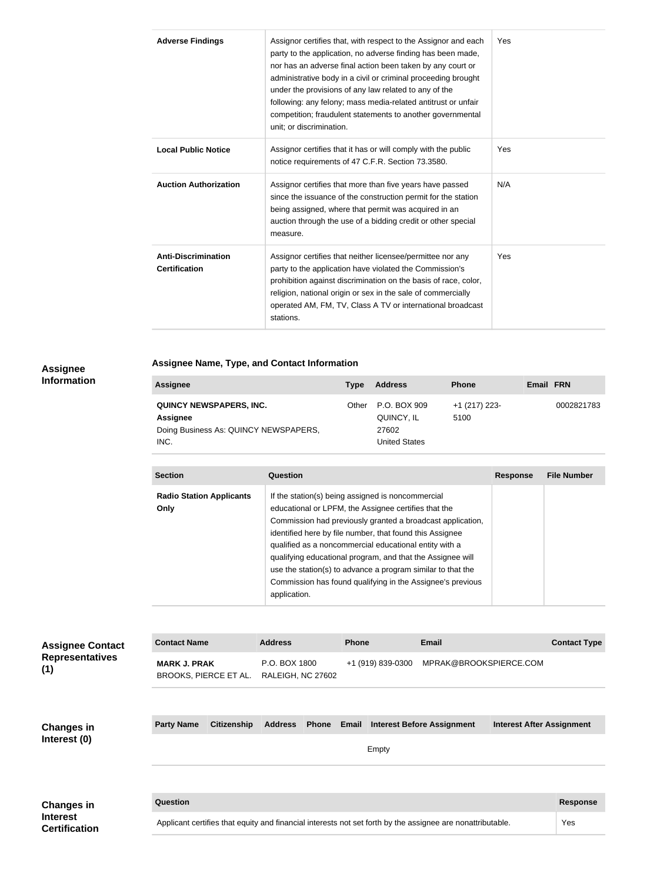| <b>Adverse Findings</b>                            | Assignor certifies that, with respect to the Assignor and each<br>party to the application, no adverse finding has been made,<br>nor has an adverse final action been taken by any court or<br>administrative body in a civil or criminal proceeding brought<br>under the provisions of any law related to any of the<br>following: any felony; mass media-related antitrust or unfair<br>competition; fraudulent statements to another governmental<br>unit; or discrimination. | Yes |
|----------------------------------------------------|----------------------------------------------------------------------------------------------------------------------------------------------------------------------------------------------------------------------------------------------------------------------------------------------------------------------------------------------------------------------------------------------------------------------------------------------------------------------------------|-----|
| <b>Local Public Notice</b>                         | Assignor certifies that it has or will comply with the public<br>notice requirements of 47 C.F.R. Section 73.3580.                                                                                                                                                                                                                                                                                                                                                               | Yes |
| <b>Auction Authorization</b>                       | Assignor certifies that more than five years have passed<br>since the issuance of the construction permit for the station<br>being assigned, where that permit was acquired in an<br>auction through the use of a bidding credit or other special<br>measure.                                                                                                                                                                                                                    | N/A |
| <b>Anti-Discrimination</b><br><b>Certification</b> | Assignor certifies that neither licensee/permittee nor any<br>party to the application have violated the Commission's<br>prohibition against discrimination on the basis of race, color,<br>religion, national origin or sex in the sale of commercially<br>operated AM, FM, TV, Class A TV or international broadcast<br>stations.                                                                                                                                              | Yes |

#### **Assignee Information**

## **Assignee Name, Type, and Contact Information**

| <b>Assignee</b>                       | Type  | <b>Address</b>       | <b>Phone</b>  | Email FRN  |
|---------------------------------------|-------|----------------------|---------------|------------|
| <b>QUINCY NEWSPAPERS, INC.</b>        | Other | P.O. BOX 909         | +1 (217) 223- | 0002821783 |
| Assignee                              |       | QUINCY, IL           | 5100          |            |
| Doing Business As: QUINCY NEWSPAPERS, |       | 27602                |               |            |
| INC.                                  |       | <b>United States</b> |               |            |

| <b>Section</b>                          | Question                                                                                                                                                                                                                                                                                                                                                                                                                                                                                                 | <b>Response</b> | <b>File Number</b> |
|-----------------------------------------|----------------------------------------------------------------------------------------------------------------------------------------------------------------------------------------------------------------------------------------------------------------------------------------------------------------------------------------------------------------------------------------------------------------------------------------------------------------------------------------------------------|-----------------|--------------------|
| <b>Radio Station Applicants</b><br>Only | If the station(s) being assigned is noncommercial<br>educational or LPFM, the Assignee certifies that the<br>Commission had previously granted a broadcast application,<br>identified here by file number, that found this Assignee<br>qualified as a noncommercial educational entity with a<br>qualifying educational program, and that the Assignee will<br>use the station(s) to advance a program similar to that the<br>Commission has found qualifying in the Assignee's previous<br>application. |                 |                    |

| <b>Assignee Contact</b><br><b>Representatives</b><br>(1)     | <b>Contact Name</b>                                                                                        | <b>Address</b>                     | <b>Phone</b>                            | <b>Email</b>                     | <b>Contact Type</b> |
|--------------------------------------------------------------|------------------------------------------------------------------------------------------------------------|------------------------------------|-----------------------------------------|----------------------------------|---------------------|
|                                                              | <b>MARK J. PRAK</b><br>BROOKS, PIERCE ET AL.                                                               | P.O. BOX 1800<br>RALEIGH, NC 27602 | +1 (919) 839-0300                       | MPRAK@BROOKSPIERCE.COM           |                     |
|                                                              |                                                                                                            |                                    |                                         |                                  |                     |
| <b>Changes in</b>                                            | <b>Party Name</b><br><b>Citizenship</b>                                                                    | <b>Address</b><br><b>Phone</b>     | <b>Email Interest Before Assignment</b> | <b>Interest After Assignment</b> |                     |
| Interest (0)                                                 |                                                                                                            |                                    | Empty                                   |                                  |                     |
|                                                              |                                                                                                            |                                    |                                         |                                  |                     |
| <b>Changes in</b><br><b>Interest</b><br><b>Certification</b> | Question                                                                                                   |                                    |                                         |                                  | <b>Response</b>     |
|                                                              | Applicant certifies that equity and financial interests not set forth by the assignee are nonattributable. |                                    |                                         |                                  | Yes                 |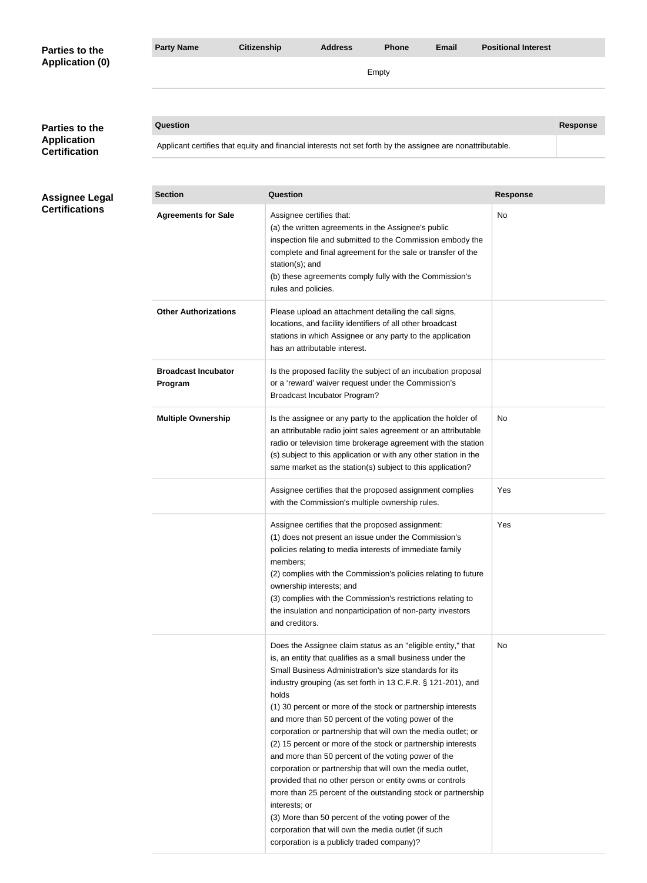| Parties to the                             | <b>Party Name</b>                     | <b>Citizenship</b> | <b>Address</b>                                                                                                                                                                                                                                                                                                                                                                                                                                                                                                                                                                                                                                                                                                                                                                                                                                                                                                                                      | <b>Phone</b> | <b>Email</b> | <b>Positional Interest</b> |                 |  |  |
|--------------------------------------------|---------------------------------------|--------------------|-----------------------------------------------------------------------------------------------------------------------------------------------------------------------------------------------------------------------------------------------------------------------------------------------------------------------------------------------------------------------------------------------------------------------------------------------------------------------------------------------------------------------------------------------------------------------------------------------------------------------------------------------------------------------------------------------------------------------------------------------------------------------------------------------------------------------------------------------------------------------------------------------------------------------------------------------------|--------------|--------------|----------------------------|-----------------|--|--|
| <b>Application (0)</b>                     |                                       |                    |                                                                                                                                                                                                                                                                                                                                                                                                                                                                                                                                                                                                                                                                                                                                                                                                                                                                                                                                                     | Empty        |              |                            |                 |  |  |
|                                            |                                       |                    |                                                                                                                                                                                                                                                                                                                                                                                                                                                                                                                                                                                                                                                                                                                                                                                                                                                                                                                                                     |              |              |                            |                 |  |  |
| Parties to the                             | <b>Question</b>                       |                    |                                                                                                                                                                                                                                                                                                                                                                                                                                                                                                                                                                                                                                                                                                                                                                                                                                                                                                                                                     |              |              |                            | <b>Response</b> |  |  |
| <b>Application</b><br><b>Certification</b> |                                       |                    | Applicant certifies that equity and financial interests not set forth by the assignee are nonattributable.                                                                                                                                                                                                                                                                                                                                                                                                                                                                                                                                                                                                                                                                                                                                                                                                                                          |              |              |                            |                 |  |  |
|                                            |                                       |                    |                                                                                                                                                                                                                                                                                                                                                                                                                                                                                                                                                                                                                                                                                                                                                                                                                                                                                                                                                     |              |              |                            |                 |  |  |
| <b>Assignee Legal</b>                      | <b>Section</b>                        |                    | <b>Question</b>                                                                                                                                                                                                                                                                                                                                                                                                                                                                                                                                                                                                                                                                                                                                                                                                                                                                                                                                     |              |              | <b>Response</b>            |                 |  |  |
| <b>Certifications</b>                      | <b>Agreements for Sale</b>            |                    | Assignee certifies that:<br>(a) the written agreements in the Assignee's public<br>inspection file and submitted to the Commission embody the<br>complete and final agreement for the sale or transfer of the<br>station(s); and<br>(b) these agreements comply fully with the Commission's<br>rules and policies.                                                                                                                                                                                                                                                                                                                                                                                                                                                                                                                                                                                                                                  |              |              | <b>No</b>                  |                 |  |  |
|                                            | <b>Other Authorizations</b>           |                    | Please upload an attachment detailing the call signs,<br>locations, and facility identifiers of all other broadcast<br>stations in which Assignee or any party to the application<br>has an attributable interest.                                                                                                                                                                                                                                                                                                                                                                                                                                                                                                                                                                                                                                                                                                                                  |              |              |                            |                 |  |  |
|                                            | <b>Broadcast Incubator</b><br>Program |                    | Is the proposed facility the subject of an incubation proposal<br>or a 'reward' waiver request under the Commission's<br><b>Broadcast Incubator Program?</b>                                                                                                                                                                                                                                                                                                                                                                                                                                                                                                                                                                                                                                                                                                                                                                                        |              |              |                            |                 |  |  |
|                                            | <b>Multiple Ownership</b>             |                    | Is the assignee or any party to the application the holder of<br>an attributable radio joint sales agreement or an attributable<br>radio or television time brokerage agreement with the station<br>(s) subject to this application or with any other station in the<br>same market as the station(s) subject to this application?                                                                                                                                                                                                                                                                                                                                                                                                                                                                                                                                                                                                                  |              |              | No                         |                 |  |  |
|                                            |                                       |                    | Assignee certifies that the proposed assignment complies<br>with the Commission's multiple ownership rules.                                                                                                                                                                                                                                                                                                                                                                                                                                                                                                                                                                                                                                                                                                                                                                                                                                         |              |              | Yes                        |                 |  |  |
|                                            |                                       |                    | Assignee certifies that the proposed assignment:<br>(1) does not present an issue under the Commission's<br>policies relating to media interests of immediate family<br>members;<br>(2) complies with the Commission's policies relating to future<br>ownership interests; and<br>(3) complies with the Commission's restrictions relating to<br>the insulation and nonparticipation of non-party investors<br>and creditors.                                                                                                                                                                                                                                                                                                                                                                                                                                                                                                                       |              |              | Yes                        |                 |  |  |
|                                            |                                       |                    | Does the Assignee claim status as an "eligible entity," that<br>is, an entity that qualifies as a small business under the<br>Small Business Administration's size standards for its<br>industry grouping (as set forth in 13 C.F.R. § 121-201), and<br>holds<br>(1) 30 percent or more of the stock or partnership interests<br>and more than 50 percent of the voting power of the<br>corporation or partnership that will own the media outlet; or<br>(2) 15 percent or more of the stock or partnership interests<br>and more than 50 percent of the voting power of the<br>corporation or partnership that will own the media outlet,<br>provided that no other person or entity owns or controls<br>more than 25 percent of the outstanding stock or partnership<br>interests; or<br>(3) More than 50 percent of the voting power of the<br>corporation that will own the media outlet (if such<br>corporation is a publicly traded company)? |              |              | No                         |                 |  |  |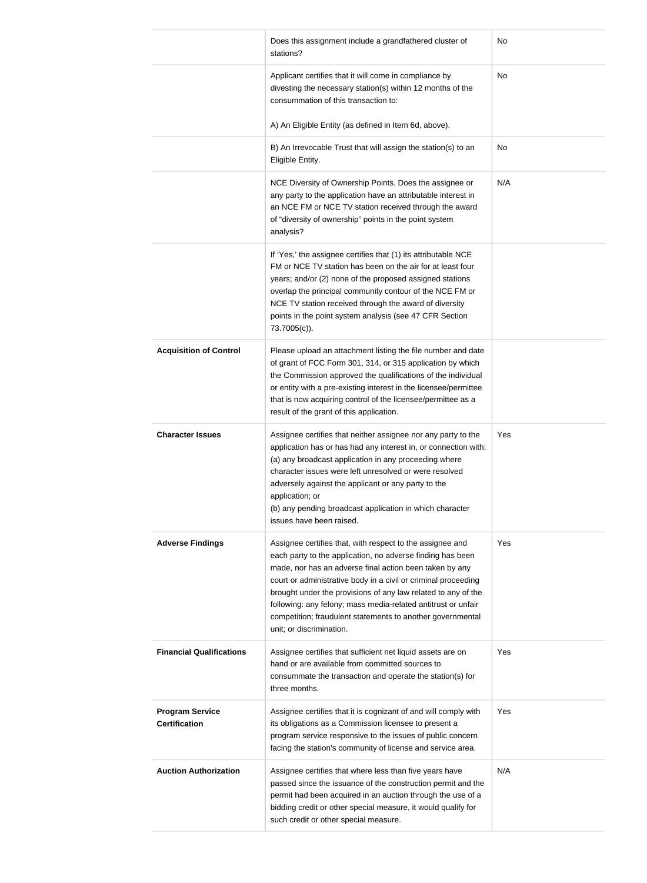|                                                | Does this assignment include a grandfathered cluster of<br>stations?                                                                                                                                                                                                                                                                                                                                                                                                             | No  |
|------------------------------------------------|----------------------------------------------------------------------------------------------------------------------------------------------------------------------------------------------------------------------------------------------------------------------------------------------------------------------------------------------------------------------------------------------------------------------------------------------------------------------------------|-----|
|                                                | Applicant certifies that it will come in compliance by<br>divesting the necessary station(s) within 12 months of the<br>consummation of this transaction to:                                                                                                                                                                                                                                                                                                                     | No  |
|                                                | A) An Eligible Entity (as defined in Item 6d, above).                                                                                                                                                                                                                                                                                                                                                                                                                            |     |
|                                                | B) An Irrevocable Trust that will assign the station(s) to an<br>Eligible Entity.                                                                                                                                                                                                                                                                                                                                                                                                | No  |
|                                                | NCE Diversity of Ownership Points. Does the assignee or<br>any party to the application have an attributable interest in<br>an NCE FM or NCE TV station received through the award<br>of "diversity of ownership" points in the point system<br>analysis?                                                                                                                                                                                                                        | N/A |
|                                                | If 'Yes,' the assignee certifies that (1) its attributable NCE<br>FM or NCE TV station has been on the air for at least four<br>years; and/or (2) none of the proposed assigned stations<br>overlap the principal community contour of the NCE FM or<br>NCE TV station received through the award of diversity<br>points in the point system analysis (see 47 CFR Section<br>73.7005(c)).                                                                                        |     |
| <b>Acquisition of Control</b>                  | Please upload an attachment listing the file number and date<br>of grant of FCC Form 301, 314, or 315 application by which<br>the Commission approved the qualifications of the individual<br>or entity with a pre-existing interest in the licensee/permittee<br>that is now acquiring control of the licensee/permittee as a<br>result of the grant of this application.                                                                                                       |     |
| <b>Character Issues</b>                        | Assignee certifies that neither assignee nor any party to the<br>application has or has had any interest in, or connection with:<br>(a) any broadcast application in any proceeding where<br>character issues were left unresolved or were resolved<br>adversely against the applicant or any party to the<br>application; or<br>(b) any pending broadcast application in which character<br>issues have been raised.                                                            | Yes |
| <b>Adverse Findings</b>                        | Assignee certifies that, with respect to the assignee and<br>each party to the application, no adverse finding has been<br>made, nor has an adverse final action been taken by any<br>court or administrative body in a civil or criminal proceeding<br>brought under the provisions of any law related to any of the<br>following: any felony; mass media-related antitrust or unfair<br>competition; fraudulent statements to another governmental<br>unit; or discrimination. | Yes |
| <b>Financial Qualifications</b>                | Assignee certifies that sufficient net liquid assets are on<br>hand or are available from committed sources to<br>consummate the transaction and operate the station(s) for<br>three months.                                                                                                                                                                                                                                                                                     | Yes |
| <b>Program Service</b><br><b>Certification</b> | Assignee certifies that it is cognizant of and will comply with<br>its obligations as a Commission licensee to present a<br>program service responsive to the issues of public concern<br>facing the station's community of license and service area.                                                                                                                                                                                                                            | Yes |
| <b>Auction Authorization</b>                   | Assignee certifies that where less than five years have<br>passed since the issuance of the construction permit and the<br>permit had been acquired in an auction through the use of a<br>bidding credit or other special measure, it would qualify for<br>such credit or other special measure.                                                                                                                                                                                 | N/A |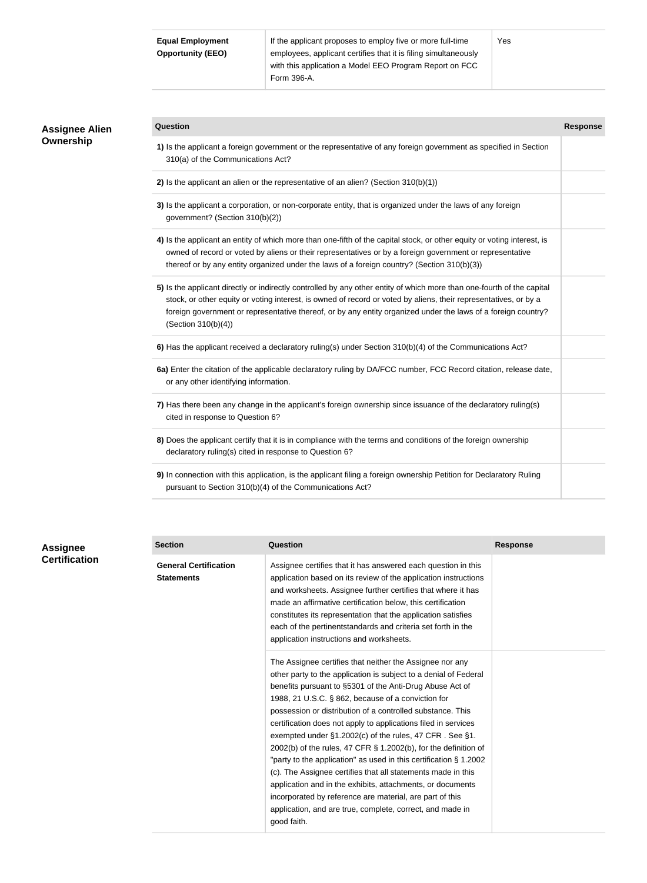| <b>Equal Employment</b>  | If the applicant proposes to employ five or more full-time      | Yes |  |  |
|--------------------------|-----------------------------------------------------------------|-----|--|--|
| <b>Opportunity (EEO)</b> | employees, applicant certifies that it is filing simultaneously |     |  |  |
|                          | with this application a Model EEO Program Report on FCC         |     |  |  |
|                          | Form 396-A.                                                     |     |  |  |

| <b>Assignee Alien</b><br>Ownership | Question                                                                                                                                                                                                                                                                                                                                                                           | <b>Response</b> |
|------------------------------------|------------------------------------------------------------------------------------------------------------------------------------------------------------------------------------------------------------------------------------------------------------------------------------------------------------------------------------------------------------------------------------|-----------------|
|                                    | 1) Is the applicant a foreign government or the representative of any foreign government as specified in Section<br>310(a) of the Communications Act?                                                                                                                                                                                                                              |                 |
|                                    | 2) Is the applicant an alien or the representative of an alien? (Section $310(b)(1)$ )                                                                                                                                                                                                                                                                                             |                 |
|                                    | 3) Is the applicant a corporation, or non-corporate entity, that is organized under the laws of any foreign<br>government? (Section 310(b)(2))                                                                                                                                                                                                                                     |                 |
|                                    | 4) Is the applicant an entity of which more than one-fifth of the capital stock, or other equity or voting interest, is<br>owned of record or voted by aliens or their representatives or by a foreign government or representative<br>thereof or by any entity organized under the laws of a foreign country? (Section 310(b)(3))                                                 |                 |
|                                    | 5) Is the applicant directly or indirectly controlled by any other entity of which more than one-fourth of the capital<br>stock, or other equity or voting interest, is owned of record or voted by aliens, their representatives, or by a<br>foreign government or representative thereof, or by any entity organized under the laws of a foreign country?<br>(Section 310(b)(4)) |                 |
|                                    | 6) Has the applicant received a declaratory ruling(s) under Section 310(b)(4) of the Communications Act?                                                                                                                                                                                                                                                                           |                 |
|                                    | 6a) Enter the citation of the applicable declaratory ruling by DA/FCC number, FCC Record citation, release date,<br>or any other identifying information.                                                                                                                                                                                                                          |                 |
|                                    | 7) Has there been any change in the applicant's foreign ownership since issuance of the declaratory ruling(s)<br>cited in response to Question 6?                                                                                                                                                                                                                                  |                 |
|                                    | 8) Does the applicant certify that it is in compliance with the terms and conditions of the foreign ownership<br>declaratory ruling(s) cited in response to Question 6?                                                                                                                                                                                                            |                 |
|                                    | 9) In connection with this application, is the applicant filing a foreign ownership Petition for Declaratory Ruling<br>pursuant to Section 310(b)(4) of the Communications Act?                                                                                                                                                                                                    |                 |

| <b>Assignee</b>      |  |
|----------------------|--|
| <b>Certification</b> |  |

| <b>Section</b>                                    | Question                                                                                                                                                                                                                                                                                                                                                                                                                                                                                                                                                                                                                                                                                                                                                                                                                                                   | <b>Response</b> |
|---------------------------------------------------|------------------------------------------------------------------------------------------------------------------------------------------------------------------------------------------------------------------------------------------------------------------------------------------------------------------------------------------------------------------------------------------------------------------------------------------------------------------------------------------------------------------------------------------------------------------------------------------------------------------------------------------------------------------------------------------------------------------------------------------------------------------------------------------------------------------------------------------------------------|-----------------|
| <b>General Certification</b><br><b>Statements</b> | Assignee certifies that it has answered each question in this<br>application based on its review of the application instructions<br>and worksheets. Assignee further certifies that where it has<br>made an affirmative certification below, this certification<br>constitutes its representation that the application satisfies<br>each of the pertinentstandards and criteria set forth in the<br>application instructions and worksheets.                                                                                                                                                                                                                                                                                                                                                                                                               |                 |
|                                                   | The Assignee certifies that neither the Assignee nor any<br>other party to the application is subject to a denial of Federal<br>benefits pursuant to §5301 of the Anti-Drug Abuse Act of<br>1988, 21 U.S.C. § 862, because of a conviction for<br>possession or distribution of a controlled substance. This<br>certification does not apply to applications filed in services<br>exempted under §1.2002(c) of the rules, 47 CFR. See §1.<br>2002(b) of the rules, 47 CFR $\S$ 1.2002(b), for the definition of<br>"party to the application" as used in this certification § 1.2002<br>(c). The Assignee certifies that all statements made in this<br>application and in the exhibits, attachments, or documents<br>incorporated by reference are material, are part of this<br>application, and are true, complete, correct, and made in<br>good faith. |                 |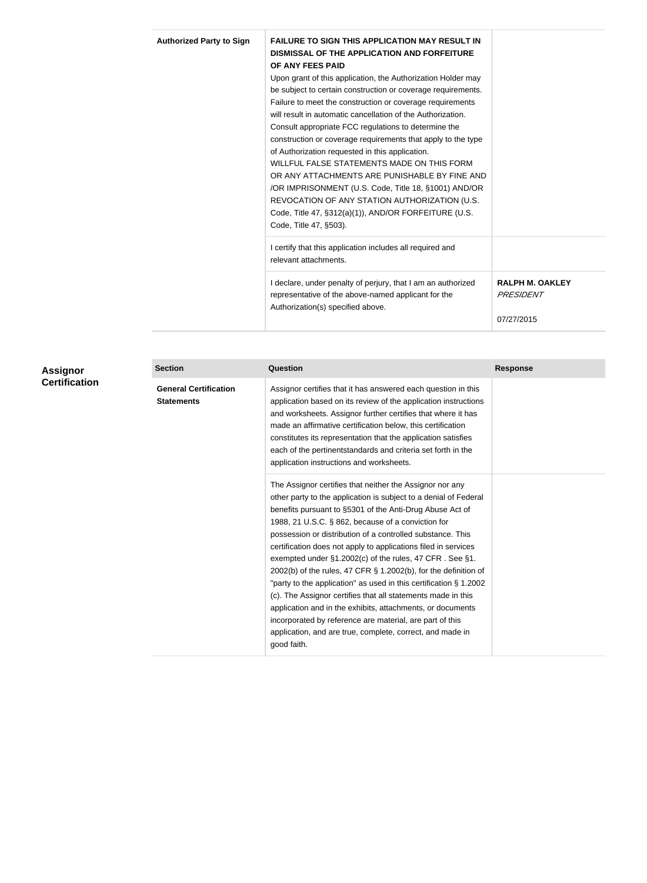| <b>Authorized Party to Sign</b> | <b>FAILURE TO SIGN THIS APPLICATION MAY RESULT IN</b><br><b>DISMISSAL OF THE APPLICATION AND FORFEITURE</b> |                        |
|---------------------------------|-------------------------------------------------------------------------------------------------------------|------------------------|
|                                 | OF ANY FEES PAID                                                                                            |                        |
|                                 | Upon grant of this application, the Authorization Holder may                                                |                        |
|                                 | be subject to certain construction or coverage requirements.                                                |                        |
|                                 | Failure to meet the construction or coverage requirements                                                   |                        |
|                                 | will result in automatic cancellation of the Authorization.                                                 |                        |
|                                 | Consult appropriate FCC regulations to determine the                                                        |                        |
|                                 | construction or coverage requirements that apply to the type                                                |                        |
|                                 | of Authorization requested in this application.                                                             |                        |
|                                 | WILLFUL FALSE STATEMENTS MADE ON THIS FORM                                                                  |                        |
|                                 | OR ANY ATTACHMENTS ARE PUNISHABLE BY FINE AND                                                               |                        |
|                                 | /OR IMPRISONMENT (U.S. Code, Title 18, §1001) AND/OR                                                        |                        |
|                                 | REVOCATION OF ANY STATION AUTHORIZATION (U.S.                                                               |                        |
|                                 | Code, Title 47, §312(a)(1)), AND/OR FORFEITURE (U.S.                                                        |                        |
|                                 | Code, Title 47, §503).                                                                                      |                        |
|                                 | I certify that this application includes all required and                                                   |                        |
|                                 | relevant attachments.                                                                                       |                        |
|                                 | I declare, under penalty of perjury, that I am an authorized                                                | <b>RALPH M. OAKLEY</b> |
|                                 | representative of the above-named applicant for the                                                         | PRESIDENT              |
|                                 | Authorization(s) specified above.                                                                           |                        |
|                                 |                                                                                                             | 07/27/2015             |

| Assignor<br><b>Certification</b> | <b>Section</b>                                    | <b>Question</b>                                                                                                                                                                                                                                                                                                                                                                                                                                                                                                                                                                                                                                                                                                                                                                                                                                            | <b>Response</b> |  |
|----------------------------------|---------------------------------------------------|------------------------------------------------------------------------------------------------------------------------------------------------------------------------------------------------------------------------------------------------------------------------------------------------------------------------------------------------------------------------------------------------------------------------------------------------------------------------------------------------------------------------------------------------------------------------------------------------------------------------------------------------------------------------------------------------------------------------------------------------------------------------------------------------------------------------------------------------------------|-----------------|--|
|                                  | <b>General Certification</b><br><b>Statements</b> | Assignor certifies that it has answered each question in this<br>application based on its review of the application instructions<br>and worksheets. Assignor further certifies that where it has<br>made an affirmative certification below, this certification<br>constitutes its representation that the application satisfies<br>each of the pertinentstandards and criteria set forth in the<br>application instructions and worksheets.                                                                                                                                                                                                                                                                                                                                                                                                               |                 |  |
|                                  |                                                   | The Assignor certifies that neither the Assignor nor any<br>other party to the application is subject to a denial of Federal<br>benefits pursuant to §5301 of the Anti-Drug Abuse Act of<br>1988, 21 U.S.C. § 862, because of a conviction for<br>possession or distribution of a controlled substance. This<br>certification does not apply to applications filed in services<br>exempted under §1.2002(c) of the rules, 47 CFR. See §1.<br>2002(b) of the rules, 47 CFR $\S$ 1.2002(b), for the definition of<br>"party to the application" as used in this certification § 1.2002<br>(c). The Assignor certifies that all statements made in this<br>application and in the exhibits, attachments, or documents<br>incorporated by reference are material, are part of this<br>application, and are true, complete, correct, and made in<br>good faith. |                 |  |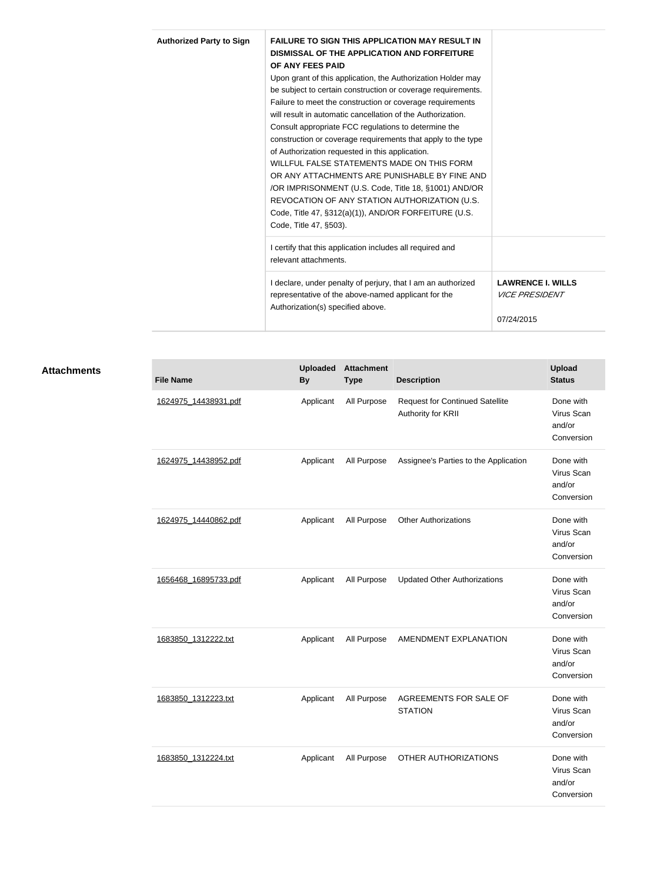| <b>Authorized Party to Sign</b> | <b>FAILURE TO SIGN THIS APPLICATION MAY RESULT IN</b>        |                              |
|---------------------------------|--------------------------------------------------------------|------------------------------|
|                                 | <b>DISMISSAL OF THE APPLICATION AND FORFEITURE</b>           |                              |
|                                 | OF ANY FEES PAID                                             |                              |
|                                 | Upon grant of this application, the Authorization Holder may |                              |
|                                 | be subject to certain construction or coverage requirements. |                              |
|                                 | Failure to meet the construction or coverage requirements    |                              |
|                                 | will result in automatic cancellation of the Authorization.  |                              |
|                                 | Consult appropriate FCC regulations to determine the         |                              |
|                                 | construction or coverage requirements that apply to the type |                              |
|                                 | of Authorization requested in this application.              |                              |
|                                 | WILLFUL FALSE STATEMENTS MADE ON THIS FORM                   |                              |
|                                 | OR ANY ATTACHMENTS ARE PUNISHABLE BY FINE AND                |                              |
|                                 | /OR IMPRISONMENT (U.S. Code, Title 18, §1001) AND/OR         |                              |
|                                 | REVOCATION OF ANY STATION AUTHORIZATION (U.S.                |                              |
|                                 | Code, Title 47, §312(a)(1)), AND/OR FORFEITURE (U.S.         |                              |
|                                 | Code, Title 47, §503).                                       |                              |
|                                 | I certify that this application includes all required and    |                              |
|                                 | relevant attachments.                                        |                              |
|                                 | I declare, under penalty of perjury, that I am an authorized | <b>LAWRENCE I. WILLS</b>     |
|                                 | representative of the above-named applicant for the          | <i><b>VICE PRESIDENT</b></i> |
|                                 | Authorization(s) specified above.                            |                              |
|                                 |                                                              | 07/24/2015                   |

| <b>File Name</b>     | <b>Uploaded</b><br><b>By</b> | <b>Attachment</b><br><b>Type</b> | <b>Description</b>                                           | Upload<br><b>Status</b>                         |
|----------------------|------------------------------|----------------------------------|--------------------------------------------------------------|-------------------------------------------------|
| 1624975 14438931.pdf | Applicant                    | All Purpose                      | <b>Request for Continued Satellite</b><br>Authority for KRII | Done with<br>Virus Scan<br>and/or<br>Conversion |
| 1624975 14438952.pdf | Applicant                    | All Purpose                      | Assignee's Parties to the Application                        | Done with<br>Virus Scan<br>and/or<br>Conversion |
| 1624975 14440862.pdf | Applicant                    | All Purpose                      | <b>Other Authorizations</b>                                  | Done with<br>Virus Scan<br>and/or<br>Conversion |
| 1656468 16895733.pdf | Applicant                    | All Purpose                      | <b>Updated Other Authorizations</b>                          | Done with<br>Virus Scan<br>and/or<br>Conversion |
| 1683850 1312222.txt  | Applicant                    | All Purpose                      | AMENDMENT EXPLANATION                                        | Done with<br>Virus Scan<br>and/or<br>Conversion |
| 1683850 1312223.txt  | Applicant                    | All Purpose                      | AGREEMENTS FOR SALE OF<br><b>STATION</b>                     | Done with<br>Virus Scan<br>and/or<br>Conversion |
| 1683850 1312224.txt  | Applicant                    | All Purpose                      | OTHER AUTHORIZATIONS                                         | Done with<br>Virus Scan<br>and/or<br>Conversion |
|                      |                              |                                  |                                                              |                                                 |

**Attachments**